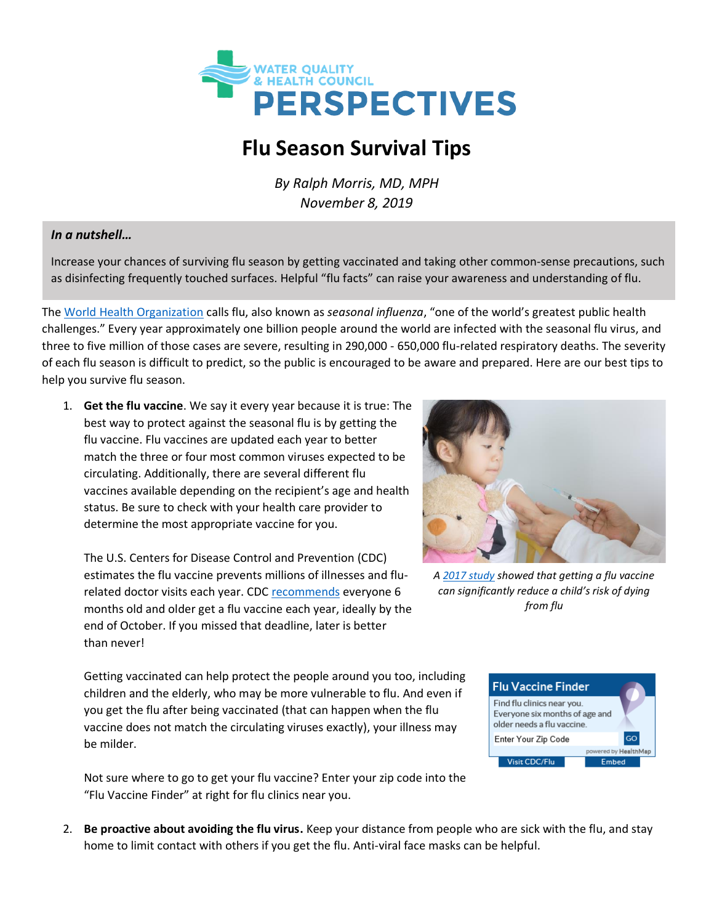

## **Flu Season Survival Tips**

*By Ralph Morris, MD, MPH November 8, 2019*

## *In a nutshell…*

Increase your chances of surviving flu season by getting vaccinated and taking other common-sense precautions, such as disinfecting frequently touched surfaces. Helpful "flu facts" can raise your awareness and understanding of flu.

The [World Health Organization](https://www.who.int/news-room/detail/11-03-2019-who-launches-new-global-influenza-strategy) calls flu, also known as *seasonal influenza*, "one of the world's greatest public health challenges." Every year approximately one billion people around the world are infected with the seasonal flu virus, and three to five million of those cases are severe, resulting in 290,000 - 650,000 flu-related respiratory deaths. The severity of each flu season is difficult to predict, so the public is encouraged to be aware and prepared. Here are our best tips to help you survive flu season.

1. **Get the flu vaccine**. We say it every year because it is true: The best way to protect against the seasonal flu is by getting the flu vaccine. Flu vaccines are updated each year to better match the three or four most common viruses expected to be circulating. Additionally, there are several different flu vaccines available depending on the recipient's age and health status. Be sure to check with your health care provider to determine the most appropriate vaccine for you.

The U.S. Centers for Disease Control and Prevention (CDC) estimates the flu vaccine prevents millions of illnesses and flurelated doctor visits each year. CDC [recommends](https://www.cdc.gov/flu/prevent/vaccinations.htm) everyone 6 months old and older get a flu vaccine each year, ideally by the end of October. If you missed that deadline, later is better than never!



*A [2017 study](https://pediatrics.aappublications.org/content/139/5/e20164244) showed that getting a flu vaccine can significantly reduce a child's risk of dying from flu*

Getting vaccinated can help protect the people around you too, including children and the elderly, who may be more vulnerable to flu. And even if you get the flu after being vaccinated (that can happen when the flu vaccine does not match the circulating viruses exactly), your illness may be milder.

Not sure where to go to get your flu vaccine? Enter your zip code into the "Flu Vaccine Finder" at right for flu clinics near you.

2. **Be proactive about avoiding the flu virus.** Keep your distance from people who are sick with the flu, and stay home to limit contact with others if you get the flu. Anti-viral face masks can be helpful.